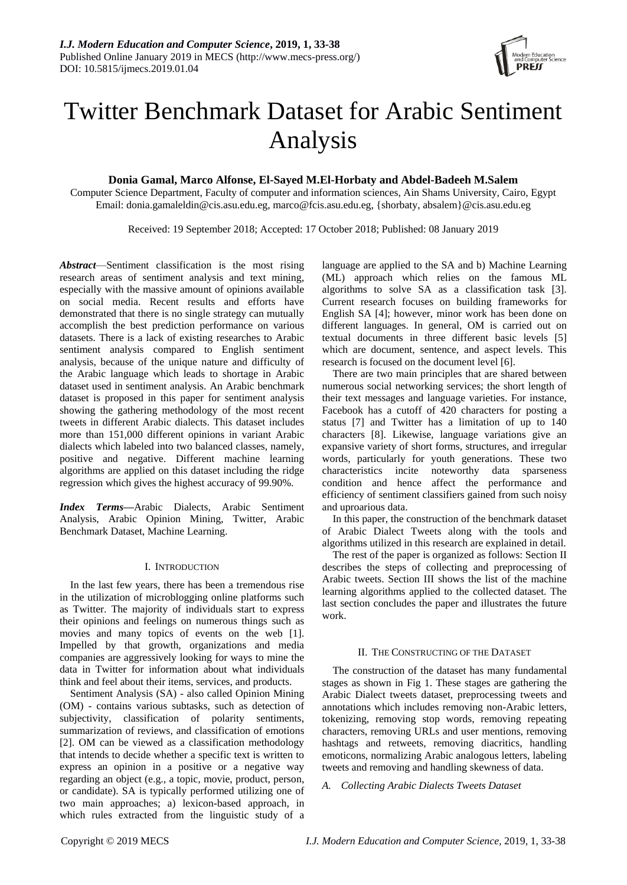

# Twitter Benchmark Dataset for Arabic Sentiment Analysis

# **Donia Gamal, Marco Alfonse, El-Sayed M.El-Horbaty and Abdel-Badeeh M.Salem**

Computer Science Department, Faculty of computer and information sciences, Ain Shams University, Cairo, Egypt Email: donia.gamaleldin@cis.asu.edu.eg, marco@fcis.asu.edu.eg, {shorbaty, absalem}@cis.asu.edu.eg

Received: 19 September 2018; Accepted: 17 October 2018; Published: 08 January 2019

*Abstract*—Sentiment classification is the most rising research areas of sentiment analysis and text mining, especially with the massive amount of opinions available on social media. Recent results and efforts have demonstrated that there is no single strategy can mutually accomplish the best prediction performance on various datasets. There is a lack of existing researches to Arabic sentiment analysis compared to English sentiment analysis, because of the unique nature and difficulty of the Arabic language which leads to shortage in Arabic dataset used in sentiment analysis. An Arabic benchmark dataset is proposed in this paper for sentiment analysis showing the gathering methodology of the most recent tweets in different Arabic dialects. This dataset includes more than 151,000 different opinions in variant Arabic dialects which labeled into two balanced classes, namely, positive and negative. Different machine learning algorithms are applied on this dataset including the ridge regression which gives the highest accuracy of 99.90%.

*Index Terms***—**Arabic Dialects, Arabic Sentiment Analysis, Arabic Opinion Mining, Twitter, Arabic Benchmark Dataset, Machine Learning.

## I. INTRODUCTION

In the last few years, there has been a tremendous rise in the utilization of microblogging online platforms such as Twitter. The majority of individuals start to express their opinions and feelings on numerous things such as movies and many topics of events on the web [1]. Impelled by that growth, organizations and media companies are aggressively looking for ways to mine the data in Twitter for information about what individuals think and feel about their items, services, and products.

Sentiment Analysis (SA) - also called Opinion Mining (OM) - contains various subtasks, such as detection of subjectivity, classification of polarity sentiments, summarization of reviews, and classification of emotions [2]. OM can be viewed as a classification methodology that intends to decide whether a specific text is written to express an opinion in a positive or a negative way regarding an object (e.g., a topic, movie, product, person, or candidate). SA is typically performed utilizing one of two main approaches; a) lexicon-based approach, in which rules extracted from the linguistic study of a language are applied to the SA and b) Machine Learning (ML) approach which relies on the famous ML algorithms to solve SA as a classification task [3]. Current research focuses on building frameworks for English SA [4]; however, minor work has been done on different languages. In general, OM is carried out on textual documents in three different basic levels [5] which are document, sentence, and aspect levels. This research is focused on the document level [6].

There are two main principles that are shared between numerous social networking services; the short length of their text messages and language varieties. For instance, Facebook has a cutoff of 420 characters for posting a status [7] and Twitter has a limitation of up to 140 characters [8]. Likewise, language variations give an expansive variety of short forms, structures, and irregular words, particularly for youth generations. These two characteristics incite noteworthy data sparseness condition and hence affect the performance and efficiency of sentiment classifiers gained from such noisy and uproarious data.

In this paper, the construction of the benchmark dataset of Arabic Dialect Tweets along with the tools and algorithms utilized in this research are explained in detail.

The rest of the paper is organized as follows: Section II describes the steps of collecting and preprocessing of Arabic tweets. Section III shows the list of the machine learning algorithms applied to the collected dataset. The last section concludes the paper and illustrates the future work.

#### II. THE CONSTRUCTING OF THE DATASET

The construction of the dataset has many fundamental stages as shown in Fig 1. These stages are gathering the Arabic Dialect tweets dataset, preprocessing tweets and annotations which includes removing non-Arabic letters, tokenizing, removing stop words, removing repeating characters, removing URLs and user mentions, removing hashtags and retweets, removing diacritics, handling emoticons, normalizing Arabic analogous letters, labeling tweets and removing and handling skewness of data.

## *A. Collecting Arabic Dialects Tweets Dataset*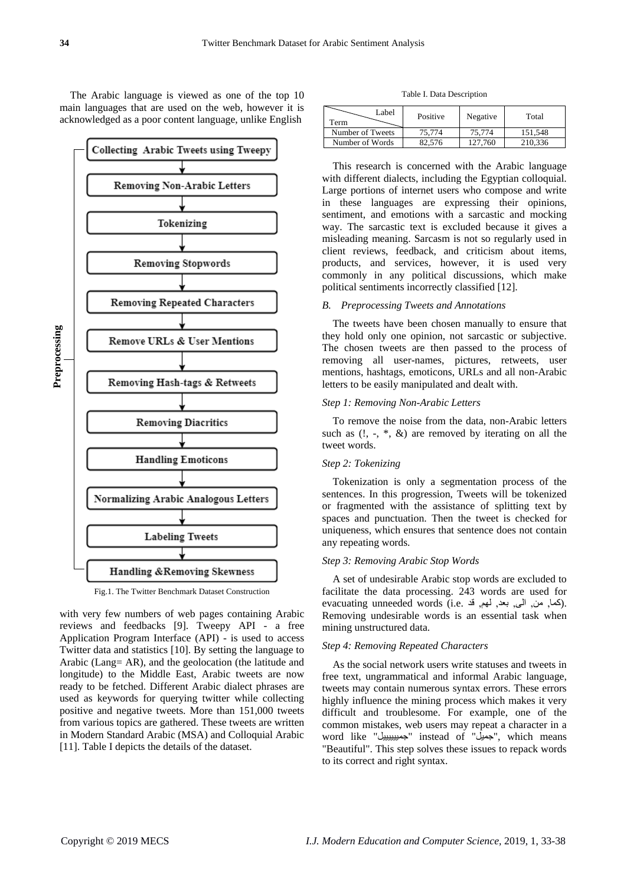The Arabic language is viewed as one of the top 10 main languages that are used on the web, however it is acknowledged as a poor content language, unlike English



Fig.1. The Twitter Benchmark Dataset Construction

with very few numbers of web pages containing Arabic reviews and feedbacks [9]. Tweepy API - a free Application Program Interface (API) - is used to access Twitter data and statistics [10]. By setting the language to Arabic (Lang= AR), and the geolocation (the latitude and longitude) to the Middle East, Arabic tweets are now ready to be fetched. Different Arabic dialect phrases are used as keywords for querying twitter while collecting positive and negative tweets. More than 151,000 tweets from various topics are gathered. These tweets are written in Modern Standard Arabic (MSA) and Colloquial Arabic [11]. Table I depicts the details of the dataset.

Table I. Data Description

| Label<br>Term    | Positive | Negative | Total   |
|------------------|----------|----------|---------|
| Number of Tweets | 75.774   | 75.774   | 151.548 |
| Number of Words  | 82.576   | 127.760  | 210.336 |

This research is concerned with the Arabic language with different dialects, including the Egyptian colloquial. Large portions of internet users who compose and write in these languages are expressing their opinions, sentiment, and emotions with a sarcastic and mocking way. The sarcastic text is excluded because it gives a misleading meaning. Sarcasm is not so regularly used in client reviews, feedback, and criticism about items, products, and services, however, it is used very commonly in any political discussions, which make political sentiments incorrectly classified [12].

#### *B. Preprocessing Tweets and Annotations*

The tweets have been chosen manually to ensure that they hold only one opinion, not sarcastic or subjective. The chosen tweets are then passed to the process of removing all user-names, pictures, retweets, user mentions, hashtags, emoticons, URLs and all non-Arabic letters to be easily manipulated and dealt with.

#### *Step 1: Removing Non-Arabic Letters*

To remove the noise from the data, non-Arabic letters such as  $(1, -, *, \&)$  are removed by iterating on all the tweet words.

#### *Step 2: Tokenizing*

Tokenization is only a segmentation process of the sentences. In this progression, Tweets will be tokenized or fragmented with the assistance of splitting text by spaces and punctuation. Then the tweet is checked for uniqueness, which ensures that sentence does not contain any repeating words.

# *Step 3: Removing Arabic Stop Words*

A set of undesirable Arabic stop words are excluded to facilitate the data processing. 243 words are used for evacuating unneeded words (i.e. كما, من, الى, بعد, لهم, قد Removing undesirable words is an essential task when mining unstructured data.

#### *Step 4: Removing Repeated Characters*

As the social network users write statuses and tweets in free text, ungrammatical and informal Arabic language, tweets may contain numerous syntax errors. These errors highly influence the mining process which makes it very difficult and troublesome. For example, one of the common mistakes, web users may repeat a character in a word like "جمييييييل "instead of "جميل", which means "Beautiful". This step solves these issues to repack words to its correct and right syntax.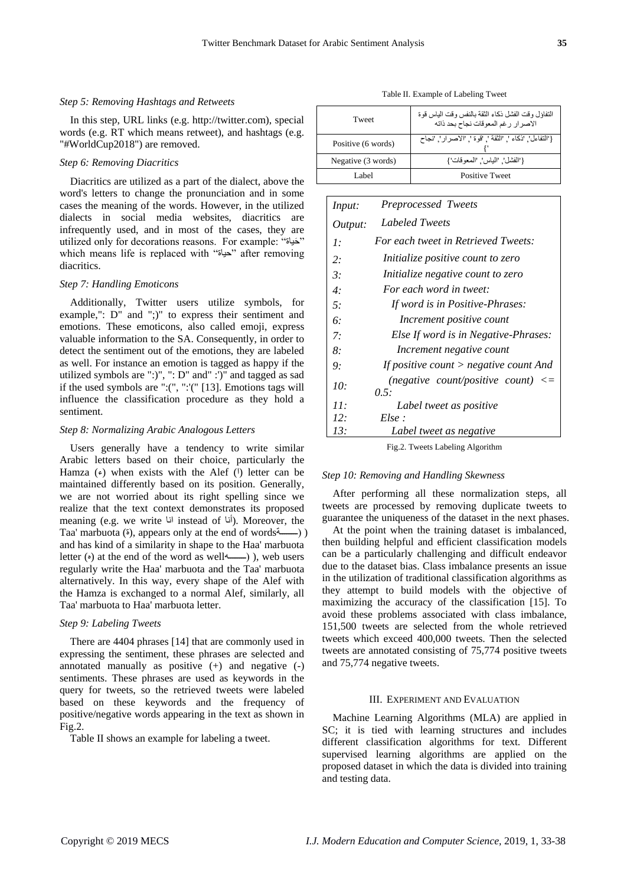#### *Step 5: Removing Hashtags and Retweets*

In this step, URL links (e.g. http://twitter.com), special words (e.g. RT which means retweet), and hashtags (e.g. "#WorldCup2018") are removed.

#### *Step 6: Removing Diacritics*

Diacritics are utilized as a part of the dialect, above the word's letters to change the pronunciation and in some cases the meaning of the words. However, in the utilized dialects in social media websites, diacritics are infrequently used, and in most of the cases, they are utilized only for decorations reasons. For example: "حياةَ " which means life is replaced with "حياة" after removing diacritics.

## *Step 7: Handling Emoticons*

Additionally, Twitter users utilize symbols, for example,": D" and ";)" to express their sentiment and emotions. These emoticons, also called emoji, express valuable information to the SA. Consequently, in order to detect the sentiment out of the emotions, they are labeled as well. For instance an emotion is tagged as happy if the utilized symbols are ":)", ": D" and" :')" and tagged as sad if the used symbols are ":(", ":'(" [13]. Emotions tags will influence the classification procedure as they hold a sentiment.

#### *Step 8: Normalizing Arabic Analogous Letters*

Users generally have a tendency to write similar Arabic letters based on their choice, particularly the Hamza  $(\epsilon)$  when exists with the Alef ( $\theta$ ) letter can be maintained differently based on its position. Generally, we are not worried about its right spelling since we realize that the text context demonstrates its proposed meaning (e.g. we write  $\vert$ iu instead of أنا). Moreover, the Taa' marbuota ( $\delta$ ), appears only at the end of words  $\delta$ and has kind of a similarity in shape to the Haa' marbuota letter  $(\circ)$  at the end of the word as well $(\circ)$ , web users regularly write the Haa' marbuota and the Taa' marbuota alternatively. In this way, every shape of the Alef with the Hamza is exchanged to a normal Alef, similarly, all Taa' marbuota to Haa' marbuota letter.

#### *Step 9: Labeling Tweets*

There are 4404 phrases [14] that are commonly used in expressing the sentiment, these phrases are selected and annotated manually as positive  $(+)$  and negative  $(-)$ sentiments. These phrases are used as keywords in the query for tweets, so the retrieved tweets were labeled based on these keywords and the frequency of positive/negative words appearing in the text as shown in Fig.2.

Table II shows an example for labeling a tweet.

Table II. Example of Labeling Tweet

| Tweet              | التفاؤل وقت الفشل ذكاء الثقة بالنفس وقت الياس قوة<br>الاصرار رغم المعوقات نجاح بحد ذاته |
|--------------------|-----------------------------------------------------------------------------------------|
| Positive (6 words) | {'النفاءل', 'ذكاء '. 'الثقة '. 'قوة '. 'الاصر ار '. 'نجاح                               |
| Negative (3 words) | {'الفشل', 'الياس', 'المعو قات' }                                                        |
| Label              | <b>Positive Tweet</b>                                                                   |

| Input:    | Preprocessed Tweets                            |
|-----------|------------------------------------------------|
| Output:   | Labeled Tweets                                 |
| $\cdot$   | For each tweet in Retrieved Tweets:            |
| 2:        | Initialize positive count to zero              |
| $\beta$ : | Initialize negative count to zero              |
| 4:        | For each word in tweet:                        |
| 5:        | If word is in Positive-Phrases:                |
| 6:        | Increment positive count                       |
| 7:        | Else If word is in Negative-Phrases:           |
| 8:        | Increment negative count                       |
| 9:        | If positive count $>$ negative count And       |
| 10:       | (negative count/positive count) $\leq$<br>0.5: |
| 11:       | Label tweet as positive                        |
| 12:       | Else:                                          |
| 13:       | Label tweet as negative                        |

Fig.2. Tweets Labeling Algorithm

#### *Step 10: Removing and Handling Skewness*

After performing all these normalization steps, all tweets are processed by removing duplicate tweets to guarantee the uniqueness of the dataset in the next phases.

At the point when the training dataset is imbalanced, then building helpful and efficient classification models can be a particularly challenging and difficult endeavor due to the dataset bias. Class imbalance presents an issue in the utilization of traditional classification algorithms as they attempt to build models with the objective of maximizing the accuracy of the classification [15]. To avoid these problems associated with class imbalance, 151,500 tweets are selected from the whole retrieved tweets which exceed 400,000 tweets. Then the selected tweets are annotated consisting of 75,774 positive tweets and 75,774 negative tweets.

#### III. EXPERIMENT AND EVALUATION

Machine Learning Algorithms (MLA) are applied in SC; it is tied with learning structures and includes different classification algorithms for text. Different supervised learning algorithms are applied on the proposed dataset in which the data is divided into training and testing data.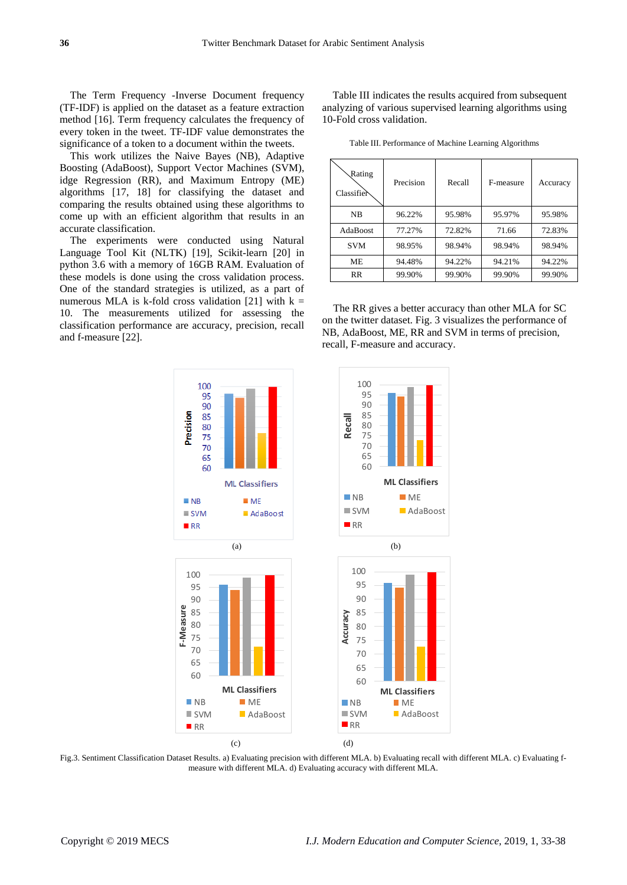The Term Frequency -Inverse Document frequency (TF-IDF) is applied on the dataset as a feature extraction method [16]. Term frequency calculates the frequency of every token in the tweet. TF-IDF value demonstrates the significance of a token to a document within the tweets.

This work utilizes the Naive Bayes (NB), Adaptive Boosting (AdaBoost), Support Vector Machines (SVM), idge Regression (RR), and Maximum Entropy (ME) algorithms [17, 18] for classifying the dataset and comparing the results obtained using these algorithms to come up with an efficient algorithm that results in an accurate classification.

The experiments were conducted using Natural Language Tool Kit (NLTK) [19], Scikit-learn [20] in python 3.6 with a memory of 16GB RAM. Evaluation of these models is done using the cross validation process. One of the standard strategies is utilized, as a part of numerous MLA is k-fold cross validation [21] with  $k =$ 10. The measurements utilized for assessing the classification performance are accuracy, precision, recall and f-measure [22].

Table III indicates the results acquired from subsequent analyzing of various supervised learning algorithms using 10-Fold cross validation.

Table III. Performance of Machine Learning Algorithms

| Rating<br>Classifier | Precision | Recall | F-measure | Accuracy |
|----------------------|-----------|--------|-----------|----------|
| <b>NB</b>            | 96.22%    | 95.98% | 95.97%    | 95.98%   |
| AdaBoost             | 77.27%    | 72.82% | 71.66     | 72.83%   |
| <b>SVM</b>           | 98.95%    | 98.94% | 98.94%    | 98.94%   |
| МE                   | 94.48%    | 94.22% | 94.21%    | 94.22%   |
| RR                   | 99.90%    | 99.90% | 99.90%    | 99.90%   |

The RR gives a better accuracy than other MLA for SC on the twitter dataset. Fig. 3 visualizes the performance of NB, AdaBoost, ME, RR and SVM in terms of precision, recall, F-measure and accuracy.



Fig.3. Sentiment Classification Dataset Results. a) Evaluating precision with different MLA. b) Evaluating recall with different MLA. c) Evaluating fmeasure with different MLA. d) Evaluating accuracy with different MLA.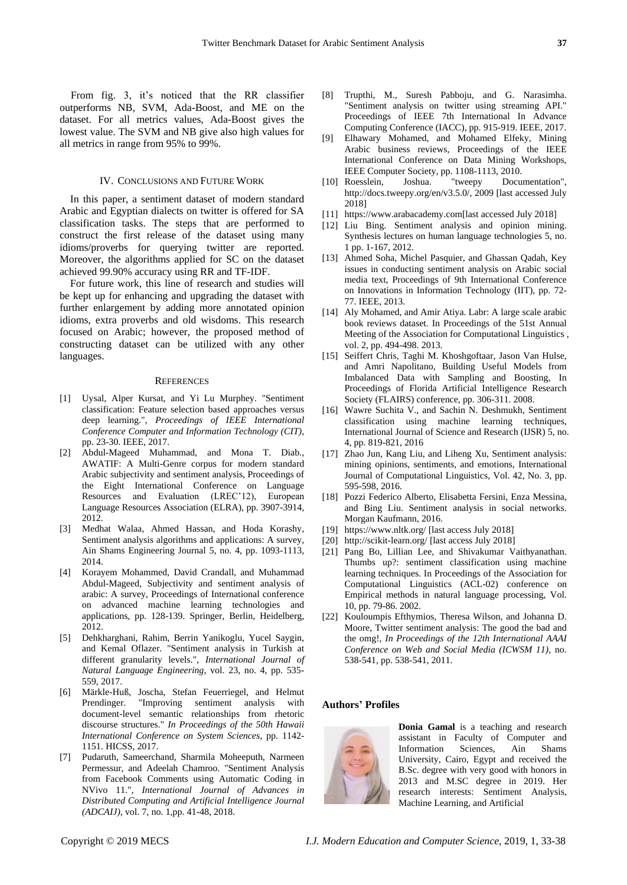From fig. 3, it's noticed that the RR classifier outperforms NB, SVM, Ada-Boost, and ME on the dataset. For all metrics values, Ada-Boost gives the lowest value. The SVM and NB give also high values for all metrics in range from 95% to 99%.

#### IV. CONCLUSIONS AND FUTURE WORK

In this paper, a sentiment dataset of modern standard Arabic and Egyptian dialects on twitter is offered for SA classification tasks. The steps that are performed to construct the first release of the dataset using many idioms/proverbs for querying twitter are reported. Moreover, the algorithms applied for SC on the dataset achieved 99.90% accuracy using RR and TF-IDF.

For future work, this line of research and studies will be kept up for enhancing and upgrading the dataset with further enlargement by adding more annotated opinion idioms, extra proverbs and old wisdoms. This research focused on Arabic; however, the proposed method of constructing dataset can be utilized with any other languages.

#### **REFERENCES**

- [1] Uysal, Alper Kursat, and Yi Lu Murphey. "Sentiment classification: Feature selection based approaches versus deep learning.", *Proceedings of IEEE International Conference Computer and Information Technology (CIT),* pp. 23-30. IEEE, 2017.
- [2] Abdul-Mageed Muhammad, and Mona T. Diab., AWATIF: A Multi-Genre corpus for modern standard Arabic subjectivity and sentiment analysis, Proceedings of the Eight International Conference on Language Resources and Evaluation (LREC'12), European Language Resources Association (ELRA), pp. 3907-3914, 2012.
- [3] Medhat Walaa, Ahmed Hassan, and Hoda Korashy, Sentiment analysis algorithms and applications: A survey, Ain Shams Engineering Journal 5, no. 4, pp. 1093-1113, 2014.
- [4] Korayem Mohammed, David Crandall, and Muhammad Abdul-Mageed, Subjectivity and sentiment analysis of arabic: A survey, Proceedings of International conference on advanced machine learning technologies and applications, pp. 128-139. Springer, Berlin, Heidelberg, 2012.
- [5] Dehkharghani, Rahim, Berrin Yanikoglu, Yucel Saygin, and Kemal Oflazer. "Sentiment analysis in Turkish at different granularity levels.", *International Journal of Natural Language Engineering*, vol. 23, no. 4, pp. 535- 559, 2017.
- [6] Märkle-Huß, Joscha, Stefan Feuerriegel, and Helmut Prendinger. "Improving sentiment analysis with document-level semantic relationships from rhetoric discourse structures." *In Proceedings of the 50th Hawaii International Conference on System Sciences*, pp. 1142- 1151. HICSS, 2017.
- [7] Pudaruth, Sameerchand, Sharmila Moheeputh, Narmeen Permessur, and Adeelah Chamroo. "Sentiment Analysis from Facebook Comments using Automatic Coding in NVivo 11.", *International Journal of Advances in Distributed Computing and Artificial Intelligence Journal (ADCAIJ)*, vol. 7, no. 1,pp. 41-48, 2018.
- [8] Trupthi, M., Suresh Pabboju, and G. Narasimha. "Sentiment analysis on twitter using streaming API." Proceedings of IEEE 7th International In Advance Computing Conference (IACC), pp. 915-919. IEEE, 2017.
- [9] Elhawary Mohamed, and Mohamed Elfeky, Mining Arabic business reviews, Proceedings of the IEEE International Conference on Data Mining Workshops, IEEE Computer Society, pp. 1108-1113, 2010.<br>Roesslein, Joshua. "tweepy Docu
- [10] Roesslein, Joshua. "tweepy Documentation", [http://docs.tweepy.org/en/v3.5.0/,](http://docs.tweepy.org/en/v3.5.0/) 2009 [last accessed July 2018]
- [11] [https://www.arabacademy.com\[](https://www.arabacademy.com/)last accessed July 2018]
- [12] Liu Bing. Sentiment analysis and opinion mining. Synthesis lectures on human language technologies 5, no. 1 pp. 1-167, 2012.
- [13] Ahmed Soha, Michel Pasquier, and Ghassan Qadah, Key issues in conducting sentiment analysis on Arabic social media text, Proceedings of 9th International Conference on Innovations in Information Technology (IIT), pp. 72- 77. IEEE, 2013.
- [14] Aly Mohamed, and Amir Atiya. Labr: A large scale arabic book reviews dataset. In Proceedings of the 51st Annual Meeting of the Association for Computational Linguistics , vol. 2, pp. 494-498. 2013.
- [15] Seiffert Chris, Taghi M. Khoshgoftaar, Jason Van Hulse, and Amri Napolitano, Building Useful Models from Imbalanced Data with Sampling and Boosting, In Proceedings of Florida Artificial Intelligence Research Society (FLAIRS) conference, pp. 306-311. 2008.
- [16] Wawre Suchita V., and Sachin N. Deshmukh, Sentiment classification using machine learning techniques, International Journal of Science and Research (IJSR) 5, no. 4, pp. 819-821, 2016
- [17] Zhao Jun, Kang Liu, and Liheng Xu, Sentiment analysis: mining opinions, sentiments, and emotions, International Journal of Computational Linguistics, Vol. 42, No. 3, pp. 595-598, 2016.
- [18] Pozzi Federico Alberto, Elisabetta Fersini, Enza Messina, and Bing Liu. Sentiment analysis in social networks. Morgan Kaufmann, 2016.
- [19] <https://www.nltk.org/> [last access July 2018]
- [20] <http://scikit-learn.org/> [last access July 2018]
- [21] Pang Bo, Lillian Lee, and Shivakumar Vaithyanathan. Thumbs up?: sentiment classification using machine learning techniques. In Proceedings of the Association for Computational Linguistics (ACL-02) conference on Empirical methods in natural language processing, Vol. 10, pp. 79-86. 2002.
- [22] Kouloumpis Efthymios, Theresa Wilson, and Johanna D. Moore, Twitter sentiment analysis: The good the bad and the omg!, *In Proceedings of the 12th International AAAI Conference on Web and Social Media (ICWSM 11)*, no. 538-541, pp. 538-541, 2011.

#### **Authors' Profiles**



**Donia Gamal** is a teaching and research assistant in Faculty of Computer and Information Sciences, Ain Shams University, Cairo, Egypt and received the B.Sc. degree with very good with honors in 2013 and M.SC degree in 2019. Her research interests: Sentiment Analysis, Machine Learning, and Artificial